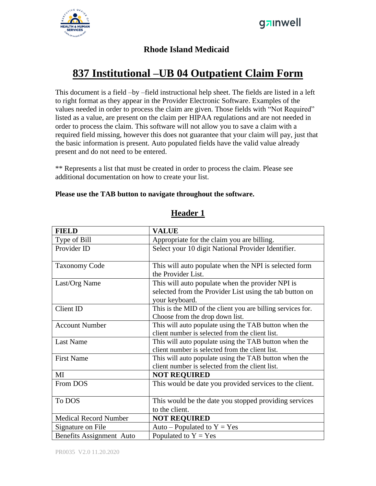

#### **Rhode Island Medicaid**

# **837 Institutional –UB 04 Outpatient Claim Form**

This document is a field –by –field instructional help sheet. The fields are listed in a left to right format as they appear in the Provider Electronic Software. Examples of the values needed in order to process the claim are given. Those fields with "Not Required" listed as a value, are present on the claim per HIPAA regulations and are not needed in order to process the claim. This software will not allow you to save a claim with a required field missing, however this does not guarantee that your claim will pay, just that the basic information is present. Auto populated fields have the valid value already present and do not need to be entered.

\*\* Represents a list that must be created in order to process the claim. Please see additional documentation on how to create your list.

#### **Please use the TAB button to navigate throughout the software.**

| <b>FIELD</b>                 | <b>VALUE</b>                                                                                                                  |
|------------------------------|-------------------------------------------------------------------------------------------------------------------------------|
| Type of Bill                 | Appropriate for the claim you are billing.                                                                                    |
| Provider ID                  | Select your 10 digit National Provider Identifier.                                                                            |
| <b>Taxonomy Code</b>         | This will auto populate when the NPI is selected form<br>the Provider List.                                                   |
| Last/Org Name                | This will auto populate when the provider NPI is<br>selected from the Provider List using the tab button on<br>your keyboard. |
| Client ID                    | This is the MID of the client you are billing services for.<br>Choose from the drop down list.                                |
| <b>Account Number</b>        | This will auto populate using the TAB button when the<br>client number is selected from the client list.                      |
| <b>Last Name</b>             | This will auto populate using the TAB button when the<br>client number is selected from the client list.                      |
| <b>First Name</b>            | This will auto populate using the TAB button when the<br>client number is selected from the client list.                      |
| MI                           | <b>NOT REQUIRED</b>                                                                                                           |
| From DOS                     | This would be date you provided services to the client.                                                                       |
| To DOS                       | This would be the date you stopped providing services<br>to the client.                                                       |
| <b>Medical Record Number</b> | <b>NOT REQUIRED</b>                                                                                                           |
| Signature on File            | Auto – Populated to $Y = Yes$                                                                                                 |
| Benefits Assignment Auto     | Populated to $Y = Yes$                                                                                                        |

#### **Header 1**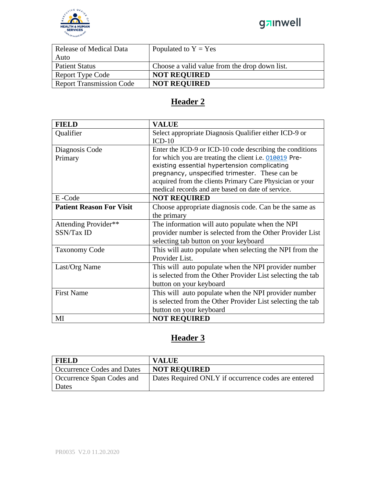

| Release of Medical Data         | Populated to $Y = Yes$                        |
|---------------------------------|-----------------------------------------------|
| Auto                            |                                               |
| <b>Patient Status</b>           | Choose a valid value from the drop down list. |
| <b>Report Type Code</b>         | <b>NOT REQUIRED</b>                           |
| <b>Report Transmission Code</b> | <b>NOT REQUIRED</b>                           |

### **Header 2**

| <b>FIELD</b>                    | <b>VALUE</b>                                                       |
|---------------------------------|--------------------------------------------------------------------|
| Qualifier                       | Select appropriate Diagnosis Qualifier either ICD-9 or<br>$ICD-10$ |
| Diagnosis Code                  | Enter the ICD-9 or ICD-10 code describing the conditions           |
| Primary                         | for which you are treating the client i.e. 010019 Pre-             |
|                                 | existing essential hypertension complicating                       |
|                                 | pregnancy, unspecified trimester. These can be                     |
|                                 | acquired from the clients Primary Care Physician or your           |
|                                 | medical records and are based on date of service.                  |
| E-Code                          | <b>NOT REQUIRED</b>                                                |
| <b>Patient Reason For Visit</b> | Choose appropriate diagnosis code. Can be the same as              |
|                                 | the primary                                                        |
| Attending Provider**            | The information will auto populate when the NPI                    |
| SSN/Tax ID                      | provider number is selected from the Other Provider List           |
|                                 | selecting tab button on your keyboard                              |
| <b>Taxonomy Code</b>            | This will auto populate when selecting the NPI from the            |
|                                 | Provider List.                                                     |
| Last/Org Name                   | This will auto populate when the NPI provider number               |
|                                 | is selected from the Other Provider List selecting the tab         |
|                                 | button on your keyboard                                            |
| <b>First Name</b>               | This will auto populate when the NPI provider number               |
|                                 | is selected from the Other Provider List selecting the tab         |
|                                 | button on your keyboard                                            |
| MI                              | <b>NOT REQUIRED</b>                                                |

## **Header 3**

| <b>FIELD</b>                      | <b>VALUE</b>                                        |
|-----------------------------------|-----------------------------------------------------|
| <b>Occurrence Codes and Dates</b> | <b>NOT REQUIRED</b>                                 |
| Occurrence Span Codes and         | Dates Required ONLY if occurrence codes are entered |
| Dates                             |                                                     |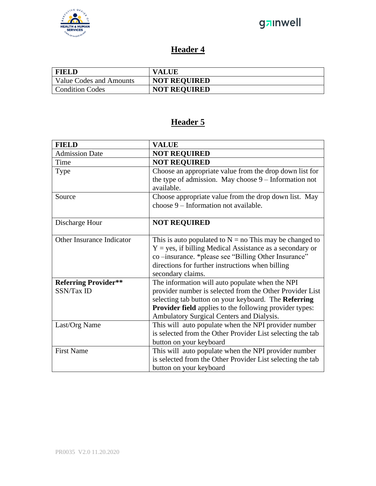

### **Header 4**

| <b>FIELD</b>            | <b>VALUE</b>        |
|-------------------------|---------------------|
| Value Codes and Amounts | <b>NOT REQUIRED</b> |
| <b>Condition Codes</b>  | <b>NOT REQUIRED</b> |

### **Header 5**

| <b>FIELD</b>                              | <b>VALUE</b>                                                                                                                                                                                                                                             |
|-------------------------------------------|----------------------------------------------------------------------------------------------------------------------------------------------------------------------------------------------------------------------------------------------------------|
| <b>Admission Date</b>                     | <b>NOT REQUIRED</b>                                                                                                                                                                                                                                      |
| Time                                      | <b>NOT REQUIRED</b>                                                                                                                                                                                                                                      |
| Type                                      | Choose an appropriate value from the drop down list for<br>the type of admission. May choose $9$ – Information not<br>available.                                                                                                                         |
| Source                                    | Choose appropriate value from the drop down list. May<br>choose 9 – Information not available.                                                                                                                                                           |
| Discharge Hour                            | <b>NOT REQUIRED</b>                                                                                                                                                                                                                                      |
| Other Insurance Indicator                 | This is auto populated to $N =$ no This may be changed to<br>$Y = yes$ , if billing Medical Assistance as a secondary or<br>co-insurance. *please see "Billing Other Insurance"<br>directions for further instructions when billing<br>secondary claims. |
| <b>Referring Provider**</b><br>SSN/Tax ID | The information will auto populate when the NPI                                                                                                                                                                                                          |
|                                           | provider number is selected from the Other Provider List<br>selecting tab button on your keyboard. The Referring<br><b>Provider field</b> applies to the following provider types:<br>Ambulatory Surgical Centers and Dialysis.                          |
| Last/Org Name                             | This will auto populate when the NPI provider number<br>is selected from the Other Provider List selecting the tab<br>button on your keyboard                                                                                                            |
| <b>First Name</b>                         | This will auto populate when the NPI provider number<br>is selected from the Other Provider List selecting the tab<br>button on your keyboard                                                                                                            |